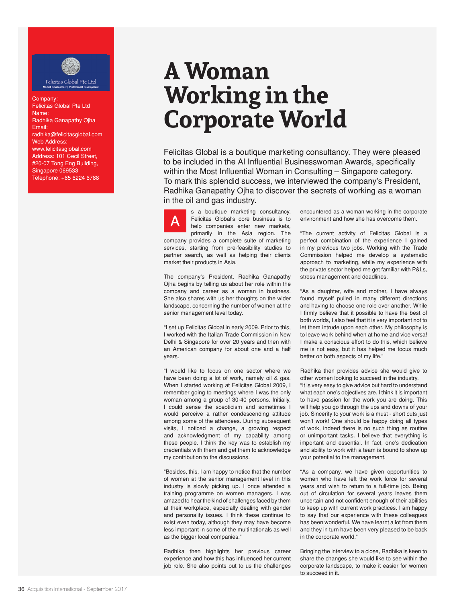

## Company: Felicitas Global Pte Ltd Name: Radhika Ganapathy Ojha Email: radhika@felicitasglobal.com Web Address: www.felicitasglobal.com Address: 101 Cecil Street, #20-07 Tong Eng Building, Singapore 069533 Telephone: +65 6224 6788

## **A Woman Working in the Corporate World**

Felicitas Global is a boutique marketing consultancy. They were pleased to be included in the AI Influential Businesswoman Awards, specifically within the Most Influential Woman in Consulting – Singapore category. To mark this splendid success, we interviewed the company's President, Radhika Ganapathy Ojha to discover the secrets of working as a woman in the oil and gas industry.

s a boutique marketing consultancy, Felicitas Global's core business is to help companies enter new markets, primarily in the Asia region. The company provides a complete suite of marketing services, starting from pre-feasibility studies to partner search, as well as helping their clients market their products in Asia. A

The company's President, Radhika Ganapathy Ojha begins by telling us about her role within the company and career as a woman in business. She also shares with us her thoughts on the wider landscape, concerning the number of women at the senior management level today.

"I set up Felicitas Global in early 2009. Prior to this, I worked with the Italian Trade Commission in New Delhi & Singapore for over 20 years and then with an American company for about one and a half years.

"I would like to focus on one sector where we have been doing a lot of work, namely oil & gas. When I started working at Felicitas Global 2009, I remember going to meetings where I was the only woman among a group of 30-40 persons. Initially, I could sense the scepticism and sometimes I would perceive a rather condescending attitude among some of the attendees. During subsequent visits, I noticed a change, a growing respect and acknowledgment of my capability among these people. I think the key was to establish my credentials with them and get them to acknowledge my contribution to the discussions.

"Besides, this, I am happy to notice that the number of women at the senior management level in this industry is slowly picking up. I once attended a training programme on women managers. I was amazed to hear the kind of challenges faced by them at their workplace, especially dealing with gender and personality issues. I think these continue to exist even today, although they may have become less important in some of the multinationals as well as the bigger local companies."

Radhika then highlights her previous career experience and how this has influenced her current job role. She also points out to us the challenges

encountered as a woman working in the corporate environment and how she has overcome them.

"The current activity of Felicitas Global is a perfect combination of the experience I gained in my previous two jobs. Working with the Trade Commission helped me develop a systematic approach to marketing, while my experience with the private sector helped me get familiar with P&Ls, stress management and deadlines.

"As a daughter, wife and mother, I have always found myself pulled in many different directions and having to choose one role over another. While I firmly believe that it possible to have the best of both worlds, I also feel that it is very important not to let them intrude upon each other. My philosophy is to leave work behind when at home and vice versa! I make a conscious effort to do this, which believe me is not easy, but it has helped me focus much better on both aspects of my life."

Radhika then provides advice she would give to other women looking to succeed in the industry. "It is very easy to give advice but hard to understand what each one's objectives are. I think it is important to have passion for the work you are doing. This will help you go through the ups and downs of your job. Sincerity to your work is a must - short cuts just won't work! One should be happy doing all types of work, indeed there is no such thing as routine or unimportant tasks. I believe that everything is important and essential. In fact, one's dedication and ability to work with a team is bound to show up your potential to the management.

"As a company, we have given opportunities to women who have left the work force for several years and wish to return to a full-time job. Being out of circulation for several years leaves them uncertain and not confident enough of their abilities to keep up with current work practices. I am happy to say that our experience with these colleagues has been wonderful. We have learnt a lot from them and they in turn have been very pleased to be back in the corporate world."

Bringing the interview to a close, Radhika is keen to share the changes she would like to see within the corporate landscape, to make it easier for women to succeed in it.